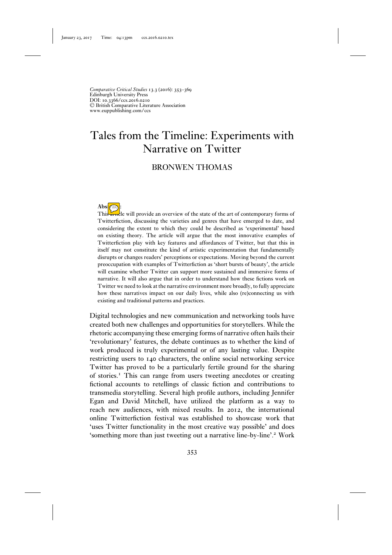*Comparative Critical Studies* 13.3 (2016): 353–369 Edinburgh University Press DOI: 10.3366/ccs.2016.0210 <sup>C</sup> British Comparative Literature Association www.euppublishing.com/ccs

# Tales from the Timeline: Experiments with Narrative on Twitter

# BRONWEN THOMAS

Abs**cac** This article will provide an overview of the state of the art of contemporary forms of Twitterfiction, discussing the varieties and genres that have emerged to date, and considering the extent to which they could be described as 'experimental' based on existing theory. The article will argue that the most innovative examples of Twitterfiction play with key features and affordances of Twitter, but that this in itself may not constitute the kind of artistic experimentation that fundamentally disrupts or changes readers' perceptions or expectations. Moving beyond the current preoccupation with examples of Twitterfiction as 'short bursts of beauty', the article will examine whether Twitter can support more sustained and immersive forms of narrative. It will also argue that in order to understand how these fictions work on Twitter we need to look at the narrative environment more broadly, to fully appreciate how these narratives impact on our daily lives, while also (re)connecting us with existing and traditional patterns and practices.

Digital technologies and new communication and networking tools have created both new challenges and opportunities for storytellers. While the rhetoric accompanying these emerging forms of narrative often hails their 'revolutionary' features, the debate continues as to whether the kind of work produced is truly experimental or of any lasting value. Despite restricting users to 140 characters, the online social networking service Twitter has proved to be a particularly fertile ground for the sharing of stories.<sup>1</sup> This can range from users tweeting anecdotes or creating fictional accounts to retellings of classic fiction and contributions to transmedia storytelling. Several high profile authors, including Jennifer Egan and David Mitchell, have utilized the platform as a way to reach new audiences, with mixed results. In 2012, the international online Twitterfiction festival was established to showcase work that 'uses Twitter functionality in the most creative way possible' and does 'something more than just tweeting out a narrative line-by-line'.<sup>2</sup> Work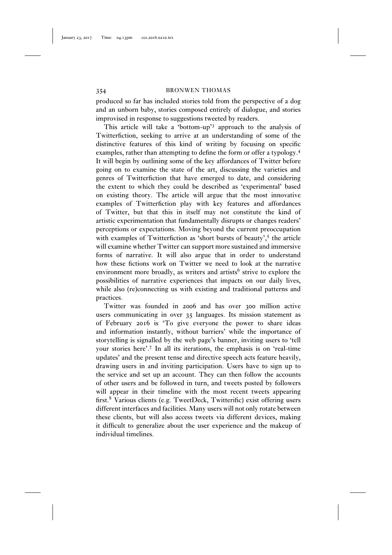produced so far has included stories told from the perspective of a dog and an unborn baby, stories composed entirely of dialogue, and stories improvised in response to suggestions tweeted by readers.

This article will take a 'bottom-up'<sup>3</sup> approach to the analysis of Twitterfiction, seeking to arrive at an understanding of some of the distinctive features of this kind of writing by focusing on specific examples, rather than attempting to define the form or offer a typology.<sup>4</sup> It will begin by outlining some of the key affordances of Twitter before going on to examine the state of the art, discussing the varieties and genres of Twitterfiction that have emerged to date, and considering the extent to which they could be described as 'experimental' based on existing theory. The article will argue that the most innovative examples of Twitterfiction play with key features and affordances of Twitter, but that this in itself may not constitute the kind of artistic experimentation that fundamentally disrupts or changes readers' perceptions or expectations. Moving beyond the current preoccupation with examples of Twitterfiction as 'short bursts of beauty', $5$  the article will examine whether Twitter can support more sustained and immersive forms of narrative. It will also argue that in order to understand how these fictions work on Twitter we need to look at the narrative environment more broadly, as writers and artists<sup>6</sup> strive to explore the possibilities of narrative experiences that impacts on our daily lives, while also (re)connecting us with existing and traditional patterns and practices.

Twitter was founded in 2006 and has over 300 million active users communicating in over 35 languages. Its mission statement as of February 2016 is 'To give everyone the power to share ideas and information instantly, without barriers' while the importance of storytelling is signalled by the web page's banner, inviting users to 'tell your stories here'.7 In all its iterations, the emphasis is on 'real-time updates' and the present tense and directive speech acts feature heavily, drawing users in and inviting participation. Users have to sign up to the service and set up an account. They can then follow the accounts of other users and be followed in turn, and tweets posted by followers will appear in their timeline with the most recent tweets appearing first.<sup>8</sup> Various clients (e.g. TweetDeck, Twitterific) exist offering users different interfaces and facilities. Many users will not only rotate between these clients, but will also access tweets via different devices, making it difficult to generalize about the user experience and the makeup of individual timelines.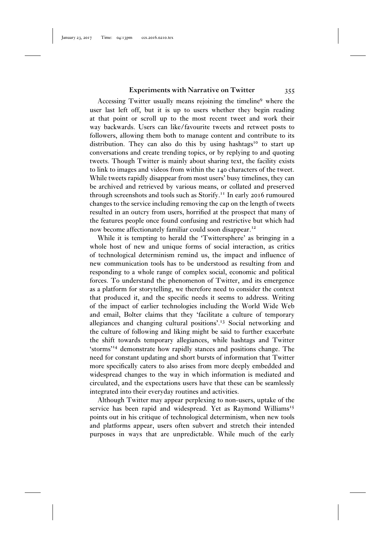Accessing Twitter usually means rejoining the timeline9 where the user last left off, but it is up to users whether they begin reading at that point or scroll up to the most recent tweet and work their way backwards. Users can like/favourite tweets and retweet posts to followers, allowing them both to manage content and contribute to its distribution. They can also do this by using hashtags<sup>10</sup> to start up conversations and create trending topics, or by replying to and quoting tweets. Though Twitter is mainly about sharing text, the facility exists to link to images and videos from within the 140 characters of the tweet. While tweets rapidly disappear from most users' busy timelines, they can be archived and retrieved by various means, or collated and preserved through screenshots and tools such as Storify.<sup>11</sup> In early 2016 rumoured changes to the service including removing the cap on the length of tweets resulted in an outcry from users, horrified at the prospect that many of the features people once found confusing and restrictive but which had now become affectionately familiar could soon disappear.<sup>12</sup>

While it is tempting to herald the 'Twittersphere' as bringing in a whole host of new and unique forms of social interaction, as critics of technological determinism remind us, the impact and influence of new communication tools has to be understood as resulting from and responding to a whole range of complex social, economic and political forces. To understand the phenomenon of Twitter, and its emergence as a platform for storytelling, we therefore need to consider the context that produced it, and the specific needs it seems to address. Writing of the impact of earlier technologies including the World Wide Web and email, Bolter claims that they 'facilitate a culture of temporary allegiances and changing cultural positions'.<sup>13</sup> Social networking and the culture of following and liking might be said to further exacerbate the shift towards temporary allegiances, while hashtags and Twitter 'storms'<sup>14</sup> demonstrate how rapidly stances and positions change. The need for constant updating and short bursts of information that Twitter more specifically caters to also arises from more deeply embedded and widespread changes to the way in which information is mediated and circulated, and the expectations users have that these can be seamlessly integrated into their everyday routines and activities.

Although Twitter may appear perplexing to non-users, uptake of the service has been rapid and widespread. Yet as Raymond Williams<sup>15</sup> points out in his critique of technological determinism, when new tools and platforms appear, users often subvert and stretch their intended purposes in ways that are unpredictable. While much of the early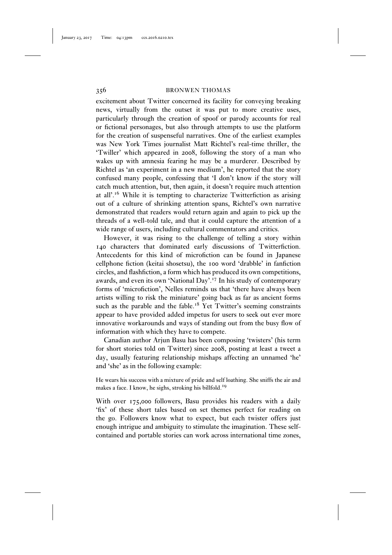excitement about Twitter concerned its facility for conveying breaking news, virtually from the outset it was put to more creative uses, particularly through the creation of spoof or parody accounts for real or fictional personages, but also through attempts to use the platform for the creation of suspenseful narratives. One of the earliest examples was New York Times journalist Matt Richtel's real-time thriller, the 'Twiller' which appeared in 2008, following the story of a man who wakes up with amnesia fearing he may be a murderer. Described by Richtel as 'an experiment in a new medium', he reported that the story confused many people, confessing that 'I don't know if the story will catch much attention, but, then again, it doesn't require much attention at all'.16 While it is tempting to characterize Twitterfiction as arising out of a culture of shrinking attention spans, Richtel's own narrative demonstrated that readers would return again and again to pick up the threads of a well-told tale, and that it could capture the attention of a wide range of users, including cultural commentators and critics.

However, it was rising to the challenge of telling a story within 140 characters that dominated early discussions of Twitterfiction. Antecedents for this kind of microfiction can be found in Japanese cellphone fiction (keitai shosetsu), the 100 word 'drabble' in fanfiction circles, and flashfiction, a form which has produced its own competitions, awards, and even its own 'National Day'.<sup>17</sup> In his study of contemporary forms of 'microfiction', Nelles reminds us that 'there have always been artists willing to risk the miniature' going back as far as ancient forms such as the parable and the fable.<sup>18</sup> Yet Twitter's seeming constraints appear to have provided added impetus for users to seek out ever more innovative workarounds and ways of standing out from the busy flow of information with which they have to compete.

Canadian author Arjun Basu has been composing 'twisters' (his term for short stories told on Twitter) since 2008, posting at least a tweet a day, usually featuring relationship mishaps affecting an unnamed 'he' and 'she' as in the following example:

He wears his success with a mixture of pride and self loathing. She sniffs the air and makes a face. I know, he sighs, stroking his billfold.<sup>19</sup>

With over 175,000 followers, Basu provides his readers with a daily 'fix' of these short tales based on set themes perfect for reading on the go. Followers know what to expect, but each twister offers just enough intrigue and ambiguity to stimulate the imagination. These selfcontained and portable stories can work across international time zones,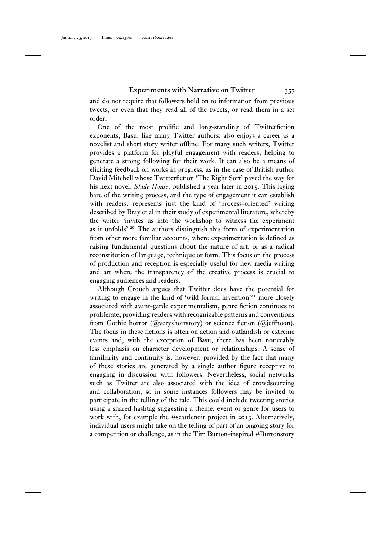and do not require that followers hold on to information from previous tweets, or even that they read all of the tweets, or read them in a set order.

One of the most prolific and long-standing of Twitterfiction exponents, Basu, like many Twitter authors, also enjoys a career as a novelist and short story writer offline. For many such writers, Twitter provides a platform for playful engagement with readers, helping to generate a strong following for their work. It can also be a means of eliciting feedback on works in progress, as in the case of British author David Mitchell whose Twitterfiction 'The Right Sort' paved the way for his next novel, *Slade House*, published a year later in 2015. This laying bare of the writing process, and the type of engagement it can establish with readers, represents just the kind of 'process-oriented' writing described by Bray et al in their study of experimental literature, whereby the writer 'invites us into the workshop to witness the experiment as it unfolds'.20 The authors distinguish this form of experimentation from other more familiar accounts, where experimentation is defined as raising fundamental questions about the nature of art, or as a radical reconstitution of language, technique or form. This focus on the process of production and reception is especially useful for new media writing and art where the transparency of the creative process is crucial to engaging audiences and readers.

Although Crouch argues that Twitter does have the potential for writing to engage in the kind of 'wild formal invention'<sup>21</sup> more closely associated with avant-garde experimentalism, genre fiction continues to proliferate, providing readers with recognizable patterns and conventions from Gothic horror (@veryshortstory) or science fiction (@jeffnoon). The focus in these fictions is often on action and outlandish or extreme events and, with the exception of Basu, there has been noticeably less emphasis on character development or relationships. A sense of familiarity and continuity is, however, provided by the fact that many of these stories are generated by a single author figure receptive to engaging in discussion with followers. Nevertheless, social networks such as Twitter are also associated with the idea of crowdsourcing and collaboration, so in some instances followers may be invited to participate in the telling of the tale. This could include tweeting stories using a shared hashtag suggesting a theme, event or genre for users to work with, for example the #seattlenoir project in 2013. Alternatively, individual users might take on the telling of part of an ongoing story for a competition or challenge, as in the Tim Burton-inspired #Burtonstory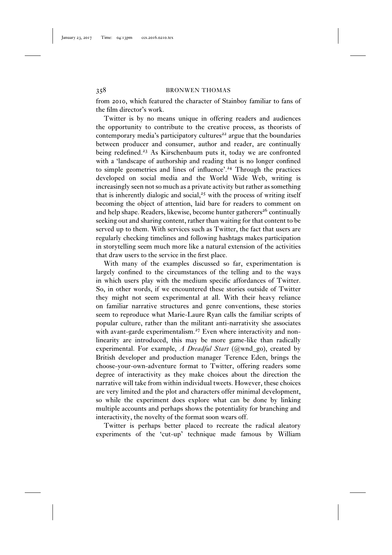from 2010, which featured the character of Stainboy familiar to fans of the film director's work.

Twitter is by no means unique in offering readers and audiences the opportunity to contribute to the creative process, as theorists of contemporary media's participatory cultures<sup> $22$ </sup> argue that the boundaries between producer and consumer, author and reader, are continually being redefined.<sup>23</sup> As Kirschenbaum puts it, today we are confronted with a 'landscape of authorship and reading that is no longer confined to simple geometries and lines of influence'.<sup>24</sup> Through the practices developed on social media and the World Wide Web, writing is increasingly seen not so much as a private activity but rather as something that is inherently dialogic and social, $25$  with the process of writing itself becoming the object of attention, laid bare for readers to comment on and help shape. Readers, likewise, become hunter gatherers<sup>26</sup> continually seeking out and sharing content, rather than waiting for that content to be served up to them. With services such as Twitter, the fact that users are regularly checking timelines and following hashtags makes participation in storytelling seem much more like a natural extension of the activities that draw users to the service in the first place.

With many of the examples discussed so far, experimentation is largely confined to the circumstances of the telling and to the ways in which users play with the medium specific affordances of Twitter. So, in other words, if we encountered these stories outside of Twitter they might not seem experimental at all. With their heavy reliance on familiar narrative structures and genre conventions, these stories seem to reproduce what Marie-Laure Ryan calls the familiar scripts of popular culture, rather than the militant anti-narrativity she associates with avant-garde experimentalism.<sup>27</sup> Even where interactivity and nonlinearity are introduced, this may be more game-like than radically experimental. For example, *A Dreadful Start* (@wnd\_go), created by British developer and production manager Terence Eden, brings the choose-your-own-adventure format to Twitter, offering readers some degree of interactivity as they make choices about the direction the narrative will take from within individual tweets. However, these choices are very limited and the plot and characters offer minimal development, so while the experiment does explore what can be done by linking multiple accounts and perhaps shows the potentiality for branching and interactivity, the novelty of the format soon wears off.

Twitter is perhaps better placed to recreate the radical aleatory experiments of the 'cut-up' technique made famous by William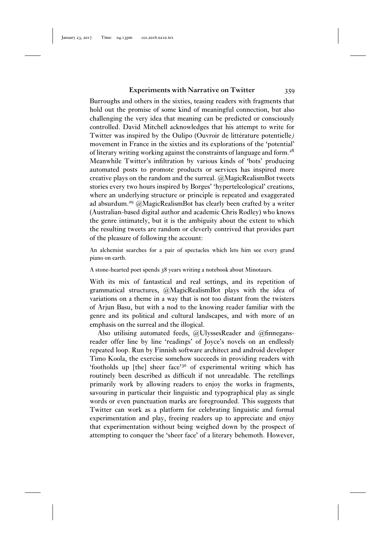Burroughs and others in the sixties, teasing readers with fragments that hold out the promise of some kind of meaningful connection, but also challenging the very idea that meaning can be predicted or consciously controlled. David Mitchell acknowledges that his attempt to write for Twitter was inspired by the Oulipo (Ouvroir de littérature potentielle*)* movement in France in the sixties and its explorations of the 'potential' of literary writing working against the constraints of language and form.<sup>28</sup> Meanwhile Twitter's infiltration by various kinds of 'bots' producing automated posts to promote products or services has inspired more creative plays on the random and the surreal. @MagicRealismBot tweets stories every two hours inspired by Borges' 'hyperteleological' creations, where an underlying structure or principle is repeated and exaggerated ad absurdum.<sup>29</sup> @MagicRealismBot has clearly been crafted by a writer (Australian-based digital author and academic Chris Rodley) who knows the genre intimately, but it is the ambiguity about the extent to which the resulting tweets are random or cleverly contrived that provides part of the pleasure of following the account:

An alchemist searches for a pair of spectacles which lets him see every grand piano on earth.

A stone-hearted poet spends 38 years writing a notebook about Minotaurs.

With its mix of fantastical and real settings, and its repetition of grammatical structures, @MagicRealismBot plays with the idea of variations on a theme in a way that is not too distant from the twisters of Arjun Basu, but with a nod to the knowing reader familiar with the genre and its political and cultural landscapes, and with more of an emphasis on the surreal and the illogical.

Also utilising automated feeds, @UlyssesReader and @finnegansreader offer line by line 'readings' of Joyce's novels on an endlessly repeated loop. Run by Finnish software architect and android developer Timo Koola, the exercise somehow succeeds in providing readers with 'footholds up [the] sheer face'<sup>30</sup> of experimental writing which has routinely been described as difficult if not unreadable. The retellings primarily work by allowing readers to enjoy the works in fragments, savouring in particular their linguistic and typographical play as single words or even punctuation marks are foregrounded. This suggests that Twitter can work as a platform for celebrating linguistic and formal experimentation and play, freeing readers up to appreciate and enjoy that experimentation without being weighed down by the prospect of attempting to conquer the 'sheer face' of a literary behemoth. However,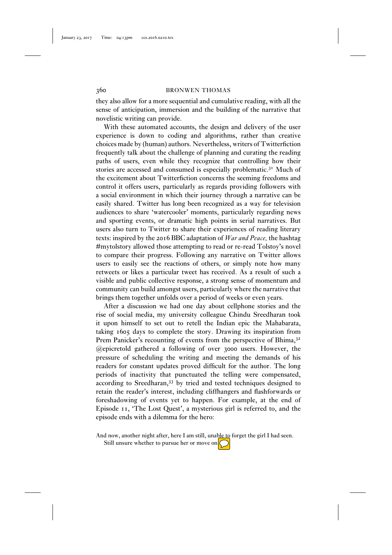they also allow for a more sequential and cumulative reading, with all the sense of anticipation, immersion and the building of the narrative that novelistic writing can provide.

With these automated accounts, the design and delivery of the user experience is down to coding and algorithms, rather than creative choices made by (human) authors. Nevertheless, writers of Twitterfiction frequently talk about the challenge of planning and curating the reading paths of users, even while they recognize that controlling how their stories are accessed and consumed is especially problematic.<sup>31</sup> Much of the excitement about Twitterfiction concerns the seeming freedoms and control it offers users, particularly as regards providing followers with a social environment in which their journey through a narrative can be easily shared. Twitter has long been recognized as a way for television audiences to share 'watercooler' moments, particularly regarding news and sporting events, or dramatic high points in serial narratives. But users also turn to Twitter to share their experiences of reading literary texts: inspired by the 2016 BBC adaptation of *War and Peace,* the hashtag #mytolstory allowed those attempting to read or re-read Tolstoy's novel to compare their progress. Following any narrative on Twitter allows users to easily see the reactions of others, or simply note how many retweets or likes a particular tweet has received. As a result of such a visible and public collective response, a strong sense of momentum and community can build amongst users, particularly where the narrative that brings them together unfolds over a period of weeks or even years.

After a discussion we had one day about cellphone stories and the rise of social media, my university colleague Chindu Sreedharan took it upon himself to set out to retell the Indian epic the Mahabarata, taking 1605 days to complete the story. Drawing its inspiration from Prem Panicker's recounting of events from the perspective of Bhima, 32 @epicretold gathered a following of over 3000 users. However, the pressure of scheduling the writing and meeting the demands of his readers for constant updates proved difficult for the author. The long periods of inactivity that punctuated the telling were compensated, according to Sreedharan,<sup>33</sup> by tried and tested techniques designed to retain the reader's interest, including cliffhangers and flashforwards or foreshadowing of events yet to happen. For example, at the end of Episode 11, 'The Lost Quest', a mysterious girl is referred to, and the episode ends with a dilemma for the hero:

And now, another night after, here I am still, unable to forget the girl I had seen. Still unsure whether to pursue her or move on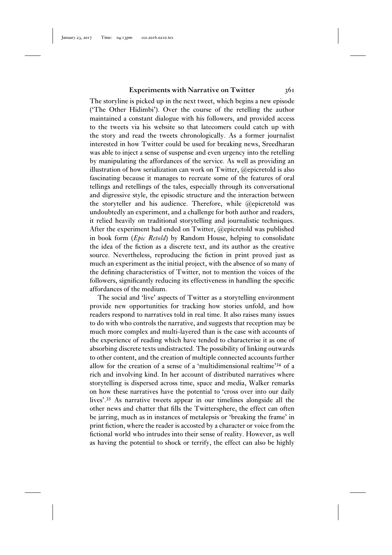The storyline is picked up in the next tweet, which begins a new episode ('The Other Hidimbi'). Over the course of the retelling the author maintained a constant dialogue with his followers, and provided access to the tweets via his website so that latecomers could catch up with the story and read the tweets chronologically. As a former journalist interested in how Twitter could be used for breaking news, Sreedharan was able to inject a sense of suspense and even urgency into the retelling by manipulating the affordances of the service. As well as providing an illustration of how serialization can work on Twitter, @epicretold is also fascinating because it manages to recreate some of the features of oral tellings and retellings of the tales, especially through its conversational and digressive style, the episodic structure and the interaction between the storyteller and his audience. Therefore, while @epicretold was undoubtedly an experiment, and a challenge for both author and readers, it relied heavily on traditional storytelling and journalistic techniques. After the experiment had ended on Twitter, @epicretold was published in book form (*Epic Retold*) by Random House, helping to consolidate the idea of the fiction as a discrete text, and its author as the creative source. Nevertheless, reproducing the fiction in print proved just as much an experiment as the initial project, with the absence of so many of the defining characteristics of Twitter, not to mention the voices of the followers, significantly reducing its effectiveness in handling the specific affordances of the medium.

The social and 'live' aspects of Twitter as a storytelling environment provide new opportunities for tracking how stories unfold, and how readers respond to narratives told in real time. It also raises many issues to do with who controls the narrative, and suggests that reception may be much more complex and multi-layered than is the case with accounts of the experience of reading which have tended to characterise it as one of absorbing discrete texts undistracted. The possibility of linking outwards to other content, and the creation of multiple connected accounts further allow for the creation of a sense of a 'multidimensional realtime'<sup>34</sup> of a rich and involving kind. In her account of distributed narratives where storytelling is dispersed across time, space and media, Walker remarks on how these narratives have the potential to 'cross over into our daily lives'.<sup>35</sup> As narrative tweets appear in our timelines alongside all the other news and chatter that fills the Twittersphere, the effect can often be jarring, much as in instances of metalepsis or 'breaking the frame' in print fiction, where the reader is accosted by a character or voice from the fictional world who intrudes into their sense of reality. However, as well as having the potential to shock or terrify, the effect can also be highly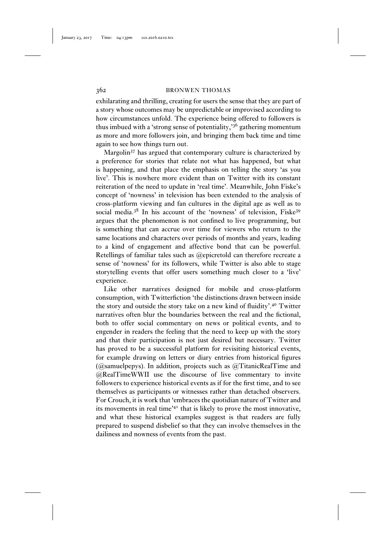exhilarating and thrilling, creating for users the sense that they are part of a story whose outcomes may be unpredictable or improvised according to how circumstances unfold. The experience being offered to followers is thus imbued with a 'strong sense of potentiality,'<sup>36</sup> gathering momentum as more and more followers join, and bringing them back time and time again to see how things turn out.

Margolin<sup>37</sup> has argued that contemporary culture is characterized by a preference for stories that relate not what has happened, but what is happening, and that place the emphasis on telling the story 'as you live'. This is nowhere more evident than on Twitter with its constant reiteration of the need to update in 'real time'. Meanwhile, John Fiske's concept of 'nowness' in television has been extended to the analysis of cross-platform viewing and fan cultures in the digital age as well as to social media.<sup>38</sup> In his account of the 'nowness' of television, Fiske<sup>39</sup> argues that the phenomenon is not confined to live programming, but is something that can accrue over time for viewers who return to the same locations and characters over periods of months and years, leading to a kind of engagement and affective bond that can be powerful. Retellings of familiar tales such as @epicretold can therefore recreate a sense of 'nowness' for its followers, while Twitter is also able to stage storytelling events that offer users something much closer to a 'live' experience.

Like other narratives designed for mobile and cross-platform consumption, with Twitterfiction 'the distinctions drawn between inside the story and outside the story take on a new kind of fluidity'.<sup>40</sup> Twitter narratives often blur the boundaries between the real and the fictional, both to offer social commentary on news or political events, and to engender in readers the feeling that the need to keep up with the story and that their participation is not just desired but necessary. Twitter has proved to be a successful platform for revisiting historical events, for example drawing on letters or diary entries from historical figures (@samuelpepys). In addition, projects such as @TitanicRealTime and @RealTimeWWII use the discourse of live commentary to invite followers to experience historical events as if for the first time, and to see themselves as participants or witnesses rather than detached observers. For Crouch, it is work that 'embraces the quotidian nature of Twitter and its movements in real time'<sup>41</sup> that is likely to prove the most innovative, and what these historical examples suggest is that readers are fully prepared to suspend disbelief so that they can involve themselves in the dailiness and nowness of events from the past.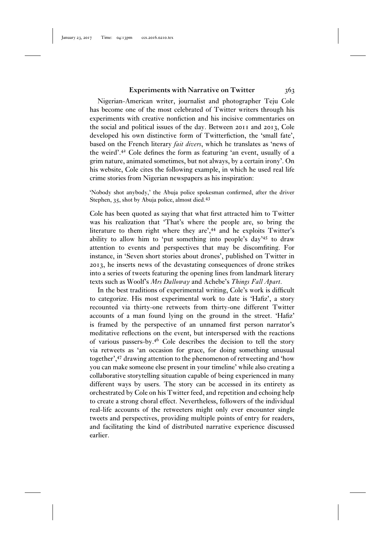Nigerian-American writer, journalist and photographer Teju Cole has become one of the most celebrated of Twitter writers through his experiments with creative nonfiction and his incisive commentaries on the social and political issues of the day. Between 2011 and 2013, Cole developed his own distinctive form of Twitterfiction, the 'small fate', based on the French literary *fait divers*, which he translates as 'news of the weird'.<sup>42</sup> Cole defines the form as featuring 'an event, usually of a grim nature, animated sometimes, but not always, by a certain irony'. On his website, Cole cites the following example, in which he used real life crime stories from Nigerian newspapers as his inspiration:

'Nobody shot anybody,' the Abuja police spokesman confirmed, after the driver Stephen, 35, shot by Abuja police, almost died.<sup>43</sup>

Cole has been quoted as saying that what first attracted him to Twitter was his realization that 'That's where the people are, so bring the literature to them right where they are',<sup>44</sup> and he exploits Twitter's ability to allow him to 'put something into people's day'<sup>45</sup> to draw attention to events and perspectives that may be discomfiting. For instance, in 'Seven short stories about drones', published on Twitter in 2013, he inserts news of the devastating consequences of drone strikes into a series of tweets featuring the opening lines from landmark literary texts such as Woolf's *Mrs Dalloway* and Achebe's *Things Fall Apart*.

In the best traditions of experimental writing, Cole's work is difficult to categorize. His most experimental work to date is 'Hafiz', a story recounted via thirty-one retweets from thirty-one different Twitter accounts of a man found lying on the ground in the street. 'Hafiz' is framed by the perspective of an unnamed first person narrator's meditative reflections on the event, but interspersed with the reactions of various passers-by.<sup>46</sup> Cole describes the decision to tell the story via retweets as 'an occasion for grace, for doing something unusual together',47 drawing attention to the phenomenon of retweeting and 'how you can make someone else present in your timeline' while also creating a collaborative storytelling situation capable of being experienced in many different ways by users. The story can be accessed in its entirety as orchestrated by Cole on his Twitter feed, and repetition and echoing help to create a strong choral effect. Nevertheless, followers of the individual real-life accounts of the retweeters might only ever encounter single tweets and perspectives, providing multiple points of entry for readers, and facilitating the kind of distributed narrative experience discussed earlier.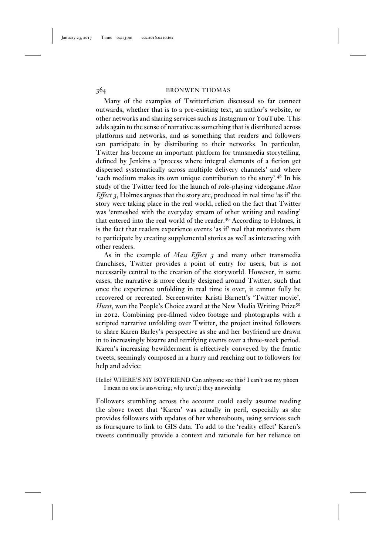Many of the examples of Twitterfiction discussed so far connect outwards, whether that is to a pre-existing text, an author's website, or other networks and sharing services such as Instagram or YouTube. This adds again to the sense of narrative as something that is distributed across platforms and networks, and as something that readers and followers can participate in by distributing to their networks. In particular, Twitter has become an important platform for transmedia storytelling, defined by Jenkins a 'process where integral elements of a fiction get dispersed systematically across multiple delivery channels' and where 'each medium makes its own unique contribution to the story'.<sup>48</sup> In his study of the Twitter feed for the launch of role-playing videogame *Mass Effect 3*, Holmes argues that the story arc, produced in real time 'as if' the story were taking place in the real world, relied on the fact that Twitter was 'enmeshed with the everyday stream of other writing and reading' that entered into the real world of the reader.<sup>49</sup> According to Holmes, it is the fact that readers experience events 'as if' real that motivates them to participate by creating supplemental stories as well as interacting with other readers.

As in the example of *Mass Effect 3* and many other transmedia franchises, Twitter provides a point of entry for users, but is not necessarily central to the creation of the storyworld. However, in some cases, the narrative is more clearly designed around Twitter, such that once the experience unfolding in real time is over, it cannot fully be recovered or recreated. Screenwriter Kristi Barnett's 'Twitter movie', Hurst, won the People's Choice award at the New Media Writing Prize<sup>50</sup> in 2012. Combining pre-filmed video footage and photographs with a scripted narrative unfolding over Twitter, the project invited followers to share Karen Barley's perspective as she and her boyfriend are drawn in to increasingly bizarre and terrifying events over a three-week period. Karen's increasing bewilderment is effectively conveyed by the frantic tweets, seemingly composed in a hurry and reaching out to followers for help and advice:

#### Hello? WHERE'S MY BOYFRIEND Can anbyone see this? I can't use my phoen I mean no one is answering; why aren';t they answeinhg

Followers stumbling across the account could easily assume reading the above tweet that 'Karen' was actually in peril, especially as she provides followers with updates of her whereabouts, using services such as foursquare to link to GIS data. To add to the 'reality effect' Karen's tweets continually provide a context and rationale for her reliance on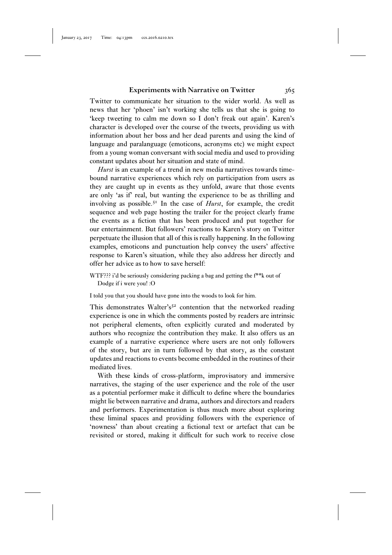Twitter to communicate her situation to the wider world. As well as news that her 'phoen' isn't working she tells us that she is going to 'keep tweeting to calm me down so I don't freak out again'. Karen's character is developed over the course of the tweets, providing us with information about her boss and her dead parents and using the kind of language and paralanguage (emoticons, acronyms etc) we might expect from a young woman conversant with social media and used to providing constant updates about her situation and state of mind.

*Hurst* is an example of a trend in new media narratives towards timebound narrative experiences which rely on participation from users as they are caught up in events as they unfold, aware that those events are only 'as if' real, but wanting the experience to be as thrilling and involving as possible.51 In the case of *Hurst*, for example, the credit sequence and web page hosting the trailer for the project clearly frame the events as a fiction that has been produced and put together for our entertainment. But followers' reactions to Karen's story on Twitter perpetuate the illusion that all of this is really happening. In the following examples, emoticons and punctuation help convey the users' affective response to Karen's situation, while they also address her directly and offer her advice as to how to save herself:

#### WTF??? i'd be seriously considering packing a bag and getting the f\*\*k out of Dodge if i were you! :O

I told you that you should have gone into the woods to look for him.

This demonstrates Walter's<sup>52</sup> contention that the networked reading experience is one in which the comments posted by readers are intrinsic not peripheral elements, often explicitly curated and moderated by authors who recognize the contribution they make. It also offers us an example of a narrative experience where users are not only followers of the story, but are in turn followed by that story, as the constant updates and reactions to events become embedded in the routines of their mediated lives.

With these kinds of cross-platform, improvisatory and immersive narratives, the staging of the user experience and the role of the user as a potential performer make it difficult to define where the boundaries might lie between narrative and drama, authors and directors and readers and performers. Experimentation is thus much more about exploring these liminal spaces and providing followers with the experience of 'nowness' than about creating a fictional text or artefact that can be revisited or stored, making it difficult for such work to receive close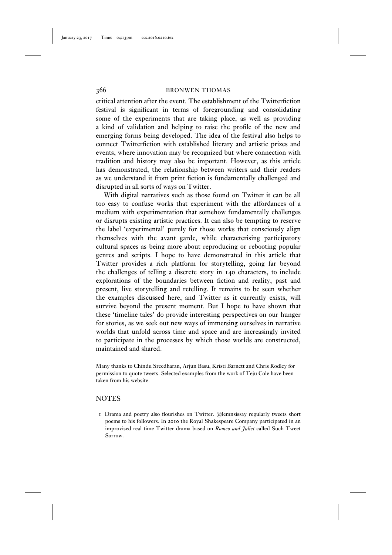critical attention after the event. The establishment of the Twitterfiction festival is significant in terms of foregrounding and consolidating some of the experiments that are taking place, as well as providing a kind of validation and helping to raise the profile of the new and emerging forms being developed. The idea of the festival also helps to connect Twitterfiction with established literary and artistic prizes and events, where innovation may be recognized but where connection with tradition and history may also be important. However, as this article has demonstrated, the relationship between writers and their readers as we understand it from print fiction is fundamentally challenged and disrupted in all sorts of ways on Twitter.

With digital narratives such as those found on Twitter it can be all too easy to confuse works that experiment with the affordances of a medium with experimentation that somehow fundamentally challenges or disrupts existing artistic practices. It can also be tempting to reserve the label 'experimental' purely for those works that consciously align themselves with the avant garde, while characterising participatory cultural spaces as being more about reproducing or rebooting popular genres and scripts. I hope to have demonstrated in this article that Twitter provides a rich platform for storytelling, going far beyond the challenges of telling a discrete story in 140 characters, to include explorations of the boundaries between fiction and reality, past and present, live storytelling and retelling. It remains to be seen whether the examples discussed here, and Twitter as it currently exists, will survive beyond the present moment. But I hope to have shown that these 'timeline tales' do provide interesting perspectives on our hunger for stories, as we seek out new ways of immersing ourselves in narrative worlds that unfold across time and space and are increasingly invited to participate in the processes by which those worlds are constructed, maintained and shared.

Many thanks to Chindu Sreedharan, Arjun Basu, Kristi Barnett and Chris Rodley for permission to quote tweets. Selected examples from the work of Teju Cole have been taken from his website.

#### NOTES

1 Drama and poetry also flourishes on Twitter. @lemnsissay regularly tweets short poems to his followers. In 2010 the Royal Shakespeare Company participated in an improvised real time Twitter drama based on *Romeo and Juliet* called Such Tweet Sorrow.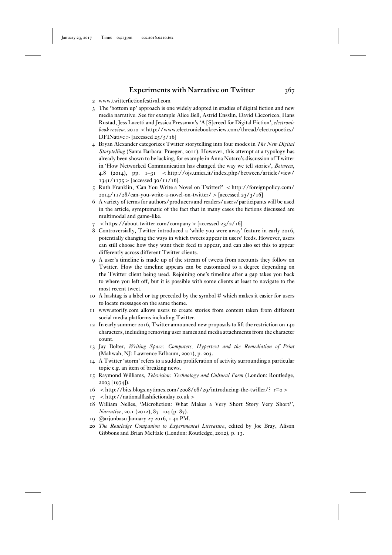- 2 www.twitterfictionfestival.com
- 3 The 'bottom up' approach is one widely adopted in studies of digital fiction and new media narrative. See for example Alice Bell, Astrid Ensslin, David Ciccoricco, Hans Rustad, Jess Lacetti and Jessica Pressman's 'A [S]creed for Digital Fiction', *electronic book review,* 2010 < http://www.electronicbookreview.com/thread/electropoetics/ DFINative  $>$  [accessed 25/5/16]
- 4 Bryan Alexander categorizes Twitter storytelling into four modes in *The New Digital Storytelling* (Santa Barbara: Praeger, 2011). However, this attempt at a typology has already been shown to be lacking, for example in Anna Notaro's discussion of Twitter in 'How Networked Communication has changed the way we tell stories', *Between*, 4.8 (2014), pp. 1–31 < http://ojs.unica.it/index.php/between/article/view/  $1341/1175$  > [accessed 30/11/16].
- 5 Ruth Franklin, 'Can You Write a Novel on Twitter?' < http://foreignpolicy.com/  $2014/11/28/c$ an-you-write-a-novel-on-twitter/ > [accessed  $23/3/16$ ]
- 6 A variety of terms for authors/producers and readers/users/participants will be used in the article, symptomatic of the fact that in many cases the fictions discussed are multimodal and game-like.
- $\langle$  https://about.twitter.com/company > [accessed 23/2/16]
- 8 Controversially, Twitter introduced a 'while you were away' feature in early 2016, potentially changing the ways in which tweets appear in users' feeds. However, users can still choose how they want their feed to appear, and can also set this to appear differently across different Twitter clients.
- 9 A user's timeline is made up of the stream of tweets from accounts they follow on Twitter. How the timeline appears can be customized to a degree depending on the Twitter client being used. Rejoining one's timeline after a gap takes you back to where you left off, but it is possible with some clients at least to navigate to the most recent tweet.
- 10 A hashtag is a label or tag preceded by the symbol # which makes it easier for users to locate messages on the same theme.
- 11 www.storify.com allows users to create stories from content taken from different social media platforms including Twitter.
- 12 In early summer 2016, Twitter announced new proposals to lift the restriction on 140 characters, including removing user names and media attachments from the character count.
- 13 Jay Bolter, *Writing Space: Computers, Hypertext and the Remediation of Print* (Mahwah, NJ: Lawrence Erlbaum, 2001), p. 203.
- 14 A Twitter 'storm' refers to a sudden proliferation of activity surrounding a particular topic e.g. an item of breaking news.
- 15 Raymond Williams, *Television: Technology and Cultural Form* (London: Routledge, 2003 [1974]).
- $16$  < http://bits.blogs.nytimes.com/2008/08/29/introducing-the-twiller/?\_r=0 >
- 17 < http://nationalflashfictionday.co.uk >
- 18 William Nelles, 'Microfiction: What Makes a Very Short Story Very Short?', *Narrative*, 20.1 (2012), 87–104 (p. 87).
- 19 @arjunbasu January 27 2016, 1.40 PM.
- 20 *The Routledge Companion to Experimental Literature*, edited by Joe Bray, Alison Gibbons and Brian McHale (London: Routledge, 2012), p. 13.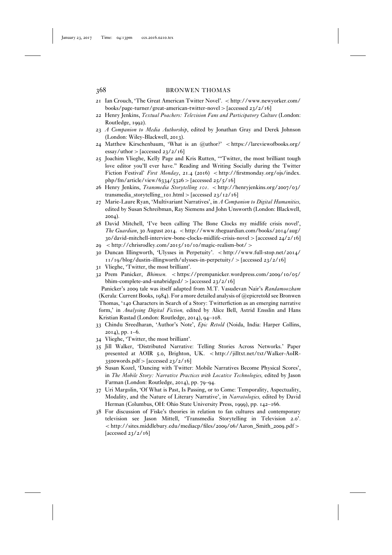- 21 Ian Crouch, 'The Great American Twitter Novel'. < http://www.newyorker.com/ books/page-turner/great-american-twitter-novel  $>$  [accessed 23/2/16]
- 22 Henry Jenkins, *Textual Poachers: Television Fans and Participatory Culture* (London: Routledge, 1992).
- 23 *A Companion to Media Authorship*, edited by Jonathan Gray and Derek Johnson (London: Wiley-Blackwell, 2013).
- 24 Matthew Kirschenbaum, 'What is an @uthor?' < https://lareviewofbooks.org/ essay/uthor  $>$  [accessed 23/2/16]
- 25 Joachim Vlieghe, Kelly Page and Kris Rutten, '"Twitter, the most brilliant tough love editor you'll ever have." Reading and Writing Socially during the Twitter Fiction Festival' *First Monday*, 21.4 (2016) < http://firstmonday.org/ojs/index. php/fm/article/view/6334/5326 > [accessed  $25/5/16$ ]
- 26 Henry Jenkins, *Transmedia Storytelling 101.* < http://henryjenkins.org/2007/03/ transmedia\_storytelling\_101.html > [accessed  $23/12/16$ ]
- 27 Marie-Laure Ryan, 'Multivariant Narratives', in *A Companion to Digital Humanities,* edited by Susan Schreibman, Ray Siemens and John Unsworth (London: Blackwell, 2004).
- 28 David Mitchell, 'I've been calling The Bone Clocks my midlife crisis novel', *The Guardian*, 30 August 2014. < http://www.theguardian.com/books/2014/aug/ 30/david-mitchell-interview-bone-clocks-midlife-crisis-novel > [accessed 24/2/16] 29 < http://chrisrodley.com/2015/10/10/magic-realism-bot/ >
- 30 Duncan Illingworth, 'Ulysses in Perpetuity'. < http://www.full-stop.net/2014/
- $11/19/b\log/\mathrm{dustin}\mbox{-}\mathrm{illingworth}/\mathrm{ulysses}\mbox{-}\mathrm{in}\mbox{-}\mathrm{perpetuity}/$   $>$  [accessed 23/2/16] 31 Vlieghe, 'Twitter, the most brilliant'.
- 32 Prem Panicker, *Bhimsen.* < https://prempanicker.wordpress.com/2009/10/05/ bhim-complete-and-unabridged/ > [accessed 23/2/16]

Panicker's 2009 tale was itself adapted from M.T. Vasudevan Nair's *Randamoozham* (Kerala: Current Books, 1984). For a more detailed analysis of @epicretold see Bronwen Thomas, '140 Characters in Search of a Story: Twitterfiction as an emerging narrative form,' in *Analysing Digital Fiction,* edited by Alice Bell, Astrid Ensslin and Hans Kristian Rustad (London: Routledge, 2014), 94–108.

- 33 Chindu Sreedharan, 'Author's Note', *Epic Retold* (Noida, India: Harper Collins, 2014), pp. 1–6.
- 34 Vlieghe, 'Twitter, the most brilliant'.
- 35 Jill Walker, 'Distributed Narrative: Telling Stories Across Networks.' Paper presented at AOIR 5.0, Brighton, UK. < http://jilltxt.net/txt/Walker-AoIR-3500words.pdf > [accessed  $23/2/16$ ]
- 36 Susan Kozel, 'Dancing with Twitter: Mobile Narratives Become Physical Scores', in *The Mobile Story: Narrative Practices with Locative Technologies,* edited by Jason Farman (London: Routledge, 2014), pp. 79–94.
- 37 Uri Margolin, 'Of What is Past, Is Passing, or to Come: Temporality, Aspectuality, Modality, and the Nature of Literary Narrative', in *Narratologies,* edited by David Herman (Columbus, OH: Ohio State University Press, 1999), pp. 142–166.
- 38 For discussion of Fiske's theories in relation to fan cultures and contemporary television see Jason Mittell, 'Transmedia Storytelling in Television 2.0'. < http://sites.middlebury.edu/mediacp/files/2009/06/Aaron\_Smith\_2009.pdf > [accessed  $23/2/16$ ]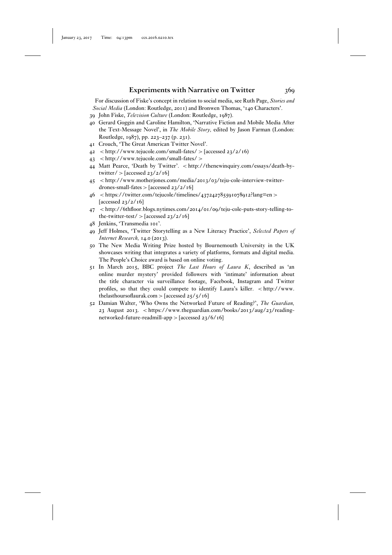For discussion of Fiske's concept in relation to social media, see Ruth Page, *Stories and Social Media* (London: Routledge, 2011) and Bronwen Thomas, '140 Characters'.

- 39 John Fiske, *Television Culture* (London: Routledge, 1987).
- 40 Gerard Goggin and Caroline Hamilton, 'Narrative Fiction and Mobile Media After the Text-Message Novel', in *The Mobile Story,* edited by Jason Farman (London: Routledge, 1987), pp. 223–237 (p. 231).
- 41 Crouch, 'The Great American Twitter Novel'.
- $42$  < http://www.tejucole.com/small-fates/ > [accessed  $23/2/16$ ]
- 43 < http://www.tejucole.com/small-fates/ >
- 44 Matt Pearce, 'Death by Twitter'. < http://thenewinquiry.com/essays/death-bytwitter/  $>$  [accessed 23/2/16]
- 45 < http://www.motherjones.com/media/2013/03/teju-cole-interview-twitterdrones-small-fates > [accessed 23/2/16]
- 46 < https://twitter.com/tejucole/timelines/437242785591078912?lang=en > [accessed  $23/2/16$ ]
- 47 < http://6thfloor.blogs.nytimes.com/2014/01/09/teju-cole-puts-story-telling-tothe-twitter-test/  $>$  [accessed 23/2/16]
- 48 Jenkins, 'Transmedia 101'.
- 49 Jeff Holmes, 'Twitter Storytelling as a New Literacy Practice', *Selected Papers of Internet Research,* 14.0 (2013).
- 50 The New Media Writing Prize hosted by Bournemouth University in the UK showcases writing that integrates a variety of platforms, formats and digital media. The People's Choice award is based on online voting.
- 51 In March 2015, BBC project *The Last Hours of Laura K*, described as 'an online murder mystery' provided followers with 'intimate' information about the title character via surveillance footage, Facebook, Instagram and Twitter profiles, so that they could compete to identify Laura's killer. < http://www. thelasthoursoflaurak.com > [accessed  $25/5/16$ ]
- 52 Damian Walter, 'Who Owns the Networked Future of Reading?', *The Guardian,* 23 August 2013. < https://www.theguardian.com/books/2013/aug/23/readingnetworked-future-readmill-app > [accessed 23/6/16]